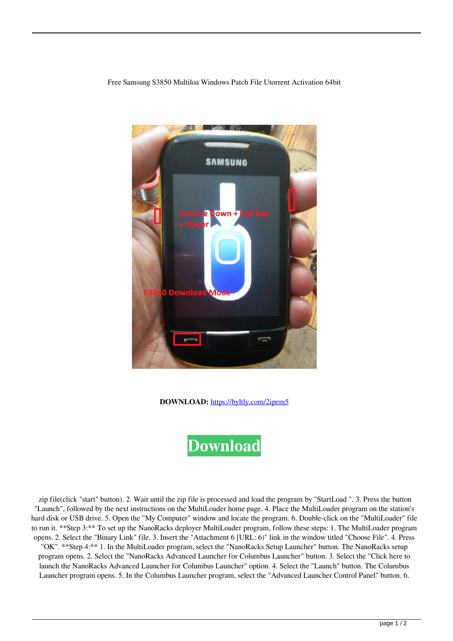Free Samsung S3850 Multiloa Windows Patch File Utorrent Activation 64bit



**DOWNLOAD:** <https://byltly.com/2ipem5>



 zip file(click "start" button). 2. Wait until the zip file is processed and load the program by "StartLoad ". 3. Press the button "Launch", followed by the next instructions on the MultiLoader home page. 4. Place the MultiLoader program on the station's hard disk or USB drive. 5. Open the "My Computer" window and locate the program. 6. Double-click on the "MultiLoader" file to run it. \*\*Step 3:\*\* To set up the NanoRacks deployer MultiLoader program, follow these steps: 1. The MultiLoader program opens. 2. Select the "Binary Link" file. 3. Insert the "Attachment 6 [URL: 6)" link in the window titled "Choose File". 4. Press "OK". \*\*Step 4:\*\* 1. In the MultiLoader program, select the "NanoRacks Setup Launcher" button. The NanoRacks setup

program opens. 2. Select the "NanoRacks Advanced Launcher for Columbus Launcher" button. 3. Select the "Click here to launch the NanoRacks Advanced Launcher for Columbus Launcher" option. 4. Select the "Launch" button. The Columbus Launcher program opens. 5. In the Columbus Launcher program, select the "Advanced Launcher Control Panel" button. 6.